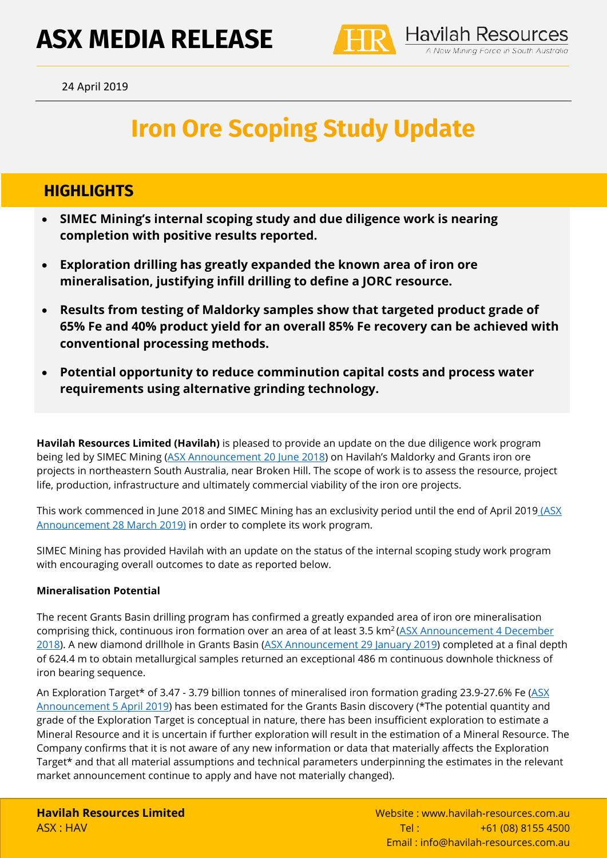# **ASX MEDIA RELEASE**



**Havilah Resources** 4 New Mining Force in South Australia

# **Iron Ore Scoping Study Update**

### **HIGHLIGHTS**

- **SIMEC Mining's internal scoping study and due diligence work is nearing completion with positive results reported.**
- **Exploration drilling has greatly expanded the known area of iron ore mineralisation, justifying infill drilling to define a JORC resource.**
- **Results from testing of Maldorky samples show that targeted product grade of 65% Fe and 40% product yield for an overall 85% Fe recovery can be achieved with conventional processing methods.**
- **Potential opportunity to reduce comminution capital costs and process water requirements using alternative grinding technology.**

**Havilah Resources Limited (Havilah)** is pleased to provide an update on the due diligence work program being led by SIMEC Mining [\(ASX Announcement 20 June 2018\)](https://www.havilah-resources.com.au/wp-content/uploads/2018/06/SIMEC_Commences_Due_Diligence_on_Havilahs_Iron_Ore_Projects_20Jun2018.pdf) on Havilah's Maldorky and Grants iron ore projects in northeastern South Australia, near Broken Hill. The scope of work is to assess the resource, project life, production, infrastructure and ultimately commercial viability of the iron ore projects.

This work commenced in June 2018 and SIMEC Mining has an exclusivity period until the end of April 2019 (ASX [Announcement 28 March 2019\)](https://www.havilah-resources.com.au/wp-content/uploads/2019/03/SIMEC_Exclusivity_Extended_on_Iron_Ore_Projects_28Mar19.pdf) in order to complete its work program.

SIMEC Mining has provided Havilah with an update on the status of the internal scoping study work program with encouraging overall outcomes to date as reported below.

#### **Mineralisation Potential**

The recent Grants Basin drilling program has confirmed a greatly expanded area of iron ore mineralisation comprising thick, continuous iron formation over an area of at least 3.5 km<sup>2</sup> (ASX Announcement 4 December [2018\)](https://www.havilah-resources.com.au/wp-content/uploads/2018/12/Grants_Iron_Ore_Basin_Discovery_Confirmed_4Dec18.pdf). A new diamond drillhole in Grants Basin [\(ASX Announcement 29 January 2019\)](https://www.havilah-resources.com.au/wp-content/uploads/2019/01/486m_Iron_Ore_Intersection_in_Grants_Basin_Drilling_29Jan2019.pdf) completed at a final depth of 624.4 m to obtain metallurgical samples returned an exceptional 486 m continuous downhole thickness of iron bearing sequence.

An Exploration Target\* of 3.47 - 3.79 billion tonnes of mineralised iron formation grading 23.9-27.6% Fe [\(ASX](https://www.havilah-resources.com.au/wp-content/uploads/2019/04/Grants_Basin_Iron-Ore_Exploration_Target_Amended_5Apr19v2.pdf)  [Announcement 5 April 2019\)](https://www.havilah-resources.com.au/wp-content/uploads/2019/04/Grants_Basin_Iron-Ore_Exploration_Target_Amended_5Apr19v2.pdf) has been estimated for the Grants Basin discovery (\*The potential quantity and grade of the Exploration Target is conceptual in nature, there has been insufficient exploration to estimate a Mineral Resource and it is uncertain if further exploration will result in the estimation of a Mineral Resource. The Company confirms that it is not aware of any new information or data that materially affects the Exploration Target\* and that all material assumptions and technical parameters underpinning the estimates in the relevant market announcement continue to apply and have not materially changed).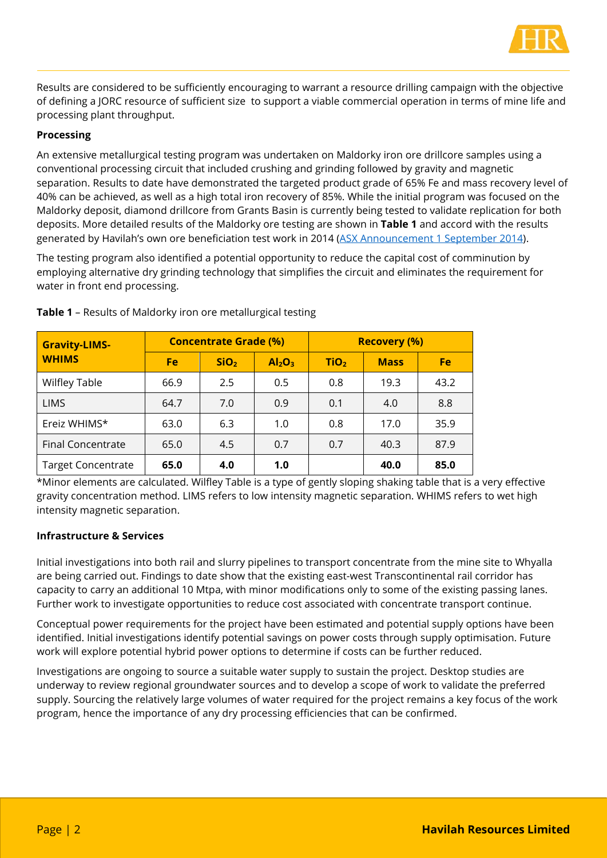

Results are considered to be sufficiently encouraging to warrant a resource drilling campaign with the objective of defining a JORC resource of sufficient size to support a viable commercial operation in terms of mine life and processing plant throughput.

#### **Processing**

An extensive metallurgical testing program was undertaken on Maldorky iron ore drillcore samples using a conventional processing circuit that included crushing and grinding followed by gravity and magnetic separation. Results to date have demonstrated the targeted product grade of 65% Fe and mass recovery level of 40% can be achieved, as well as a high total iron recovery of 85%. While the initial program was focused on the Maldorky deposit, diamond drillcore from Grants Basin is currently being tested to validate replication for both deposits. More detailed results of the Maldorky ore testing are shown in **Table 1** and accord with the results generated by Havilah's own ore beneficiation test work in 2014 [\(ASX Announcement 1 September 2014\)](https://www.asx.com.au/asxpdf/20140901/pdf/42rx9pt84xmqqf.pdf).

The testing program also identified a potential opportunity to reduce the capital cost of comminution by employing alternative dry grinding technology that simplifies the circuit and eliminates the requirement for water in front end processing.

| <b>Gravity-LIMS-</b><br><b>WHIMS</b> | <b>Concentrate Grade (%)</b> |                  |                                | <b>Recovery (%)</b> |             |      |
|--------------------------------------|------------------------------|------------------|--------------------------------|---------------------|-------------|------|
|                                      | <b>Fe</b>                    | SiO <sub>2</sub> | Al <sub>2</sub> O <sub>3</sub> | TiO <sub>2</sub>    | <b>Mass</b> | Fe   |
| <b>Wilfley Table</b>                 | 66.9                         | 2.5              | 0.5                            | 0.8                 | 19.3        | 43.2 |
| <b>LIMS</b>                          | 64.7                         | 7.0              | 0.9                            | 0.1                 | 4.0         | 8.8  |
| Ereiz WHIMS*                         | 63.0                         | 6.3              | 1.0                            | 0.8                 | 17.0        | 35.9 |
| <b>Final Concentrate</b>             | 65.0                         | 4.5              | 0.7                            | 0.7                 | 40.3        | 87.9 |
| <b>Target Concentrate</b>            | 65.0                         | 4.0              | 1.0                            |                     | 40.0        | 85.0 |

**Table 1** – Results of Maldorky iron ore metallurgical testing

\*Minor elements are calculated. Wilfley Table is a type of gently sloping shaking table that is a very effective gravity concentration method. LIMS refers to low intensity magnetic separation. WHIMS refers to wet high intensity magnetic separation.

#### **Infrastructure & Services**

Initial investigations into both rail and slurry pipelines to transport concentrate from the mine site to Whyalla are being carried out. Findings to date show that the existing east-west Transcontinental rail corridor has capacity to carry an additional 10 Mtpa, with minor modifications only to some of the existing passing lanes. Further work to investigate opportunities to reduce cost associated with concentrate transport continue.

Conceptual power requirements for the project have been estimated and potential supply options have been identified. Initial investigations identify potential savings on power costs through supply optimisation. Future work will explore potential hybrid power options to determine if costs can be further reduced.

Investigations are ongoing to source a suitable water supply to sustain the project. Desktop studies are underway to review regional groundwater sources and to develop a scope of work to validate the preferred supply. Sourcing the relatively large volumes of water required for the project remains a key focus of the work program, hence the importance of any dry processing efficiencies that can be confirmed.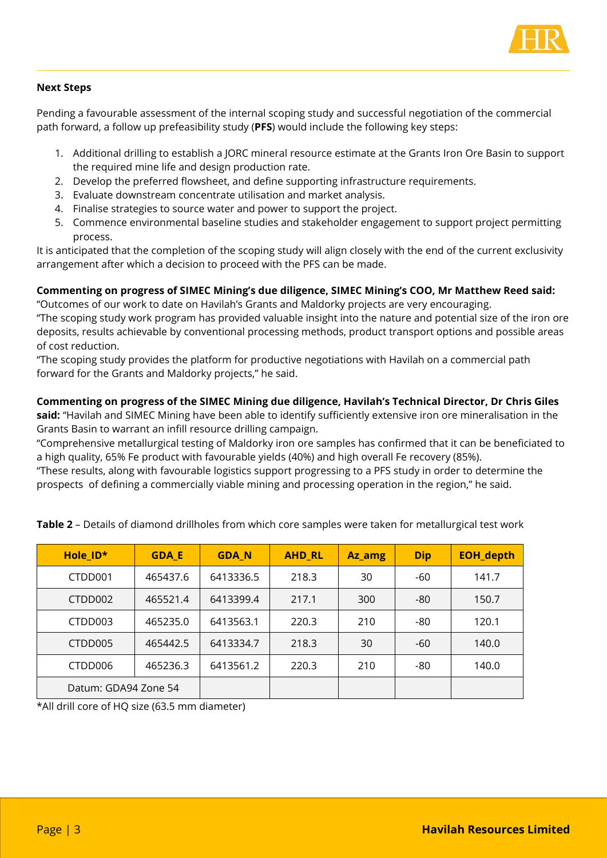

#### **Next Steps**

Pending a favourable assessment of the internal scoping study and successful negotiation of the commercial path forward, a follow up prefeasibility study (**PFS**) would include the following key steps:

- 1. Additional drilling to establish a JORC mineral resource estimate at the Grants Iron Ore Basin to support the required mine life and design production rate.
- 2. Develop the preferred flowsheet, and define supporting infrastructure requirements.
- 3. Evaluate downstream concentrate utilisation and market analysis.
- 4. Finalise strategies to source water and power to support the project.
- 5. Commence environmental baseline studies and stakeholder engagement to support project permitting process.

It is anticipated that the completion of the scoping study will align closely with the end of the current exclusivity arrangement after which a decision to proceed with the PFS can be made.

#### **Commenting on progress of SIMEC Mining's due diligence, SIMEC Mining's COO, Mr Matthew Reed said:**

"Outcomes of our work to date on Havilah's Grants and Maldorky projects are very encouraging. "The scoping study work program has provided valuable insight into the nature and potential size of the iron ore deposits, results achievable by conventional processing methods, product transport options and possible areas of cost reduction.

"The scoping study provides the platform for productive negotiations with Havilah on a commercial path forward for the Grants and Maldorky projects," he said.

#### **Commenting on progress of the SIMEC Mining due diligence, Havilah's Technical Director, Dr Chris Giles**

**said:** "Havilah and SIMEC Mining have been able to identify sufficiently extensive iron ore mineralisation in the Grants Basin to warrant an infill resource drilling campaign.

"Comprehensive metallurgical testing of Maldorky iron ore samples has confirmed that it can be beneficiated to a high quality, 65% Fe product with favourable yields (40%) and high overall Fe recovery (85%).

"These results, along with favourable logistics support progressing to a PFS study in order to determine the prospects of defining a commercially viable mining and processing operation in the region," he said.

| Hole_ID*             | <b>GDA_E</b> | <b>GDA_N</b> | <b>AHD RL</b> | Az_amg | <b>Dip</b> | <b>EOH_depth</b> |
|----------------------|--------------|--------------|---------------|--------|------------|------------------|
| CTDD001              | 465437.6     | 6413336.5    | 218.3         | 30     | -60        | 141.7            |
| CTDD002              | 465521.4     | 6413399.4    | 217.1         | 300    | -80        | 150.7            |
| CTDD003              | 465235.0     | 6413563.1    | 220.3         | 210    | -80        | 120.1            |
| CTDD005              | 465442.5     | 6413334.7    | 218.3         | 30     | -60        | 140.0            |
| CTDD006              | 465236.3     | 6413561.2    | 220.3         | 210    | $-80$      | 140.0            |
| Datum: GDA94 Zone 54 |              |              |               |        |            |                  |

**Table 2** – Details of diamond drillholes from which core samples were taken for metallurgical test work

\*All drill core of HQ size (63.5 mm diameter)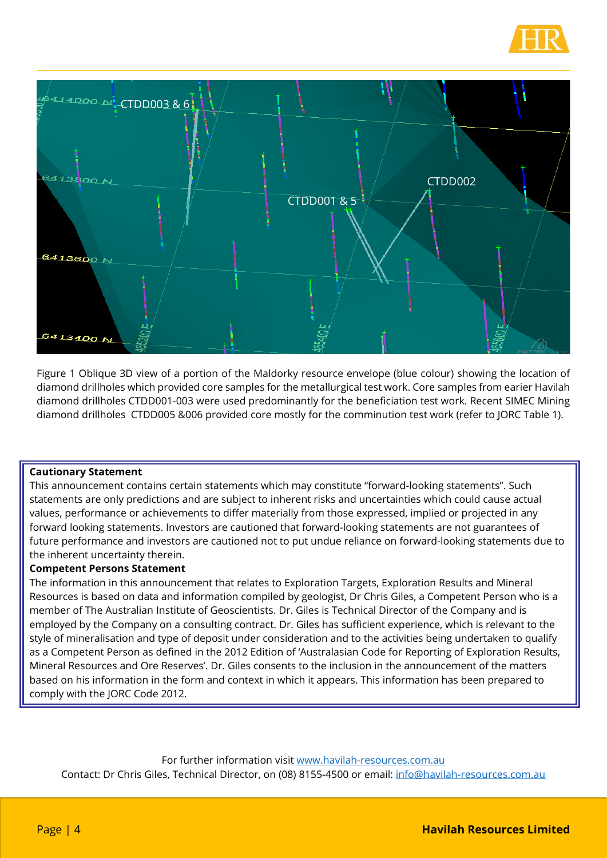



Figure 1 Oblique 3D view of a portion of the Maldorky resource envelope (blue colour) showing the location of diamond drillholes which provided core samples for the metallurgical test work. Core samples from earier Havilah diamond drillholes CTDD001-003 were used predominantly for the beneficiation test work. Recent SIMEC Mining diamond drillholes CTDD005 &006 provided core mostly for the comminution test work (refer to JORC Table 1).

#### **Cautionary Statement**

This announcement contains certain statements which may constitute "forward-looking statements". Such statements are only predictions and are subject to inherent risks and uncertainties which could cause actual values, performance or achievements to differ materially from those expressed, implied or projected in any forward looking statements. Investors are cautioned that forward-looking statements are not guarantees of future performance and investors are cautioned not to put undue reliance on forward-looking statements due to the inherent uncertainty therein.

#### **Competent Persons Statement**

The information in this announcement that relates to Exploration Targets, Exploration Results and Mineral Resources is based on data and information compiled by geologist, Dr Chris Giles, a Competent Person who is a member of The Australian Institute of Geoscientists. Dr. Giles is Technical Director of the Company and is employed by the Company on a consulting contract. Dr. Giles has sufficient experience, which is relevant to the style of mineralisation and type of deposit under consideration and to the activities being undertaken to qualify as a Competent Person as defined in the 2012 Edition of 'Australasian Code for Reporting of Exploration Results, Mineral Resources and Ore Reserves'. Dr. Giles consents to the inclusion in the announcement of the matters based on his information in the form and context in which it appears. This information has been prepared to comply with the JORC Code 2012.

For further information visit [www.havilah-resources.com.au](http://www.havilah-resources.com.au/)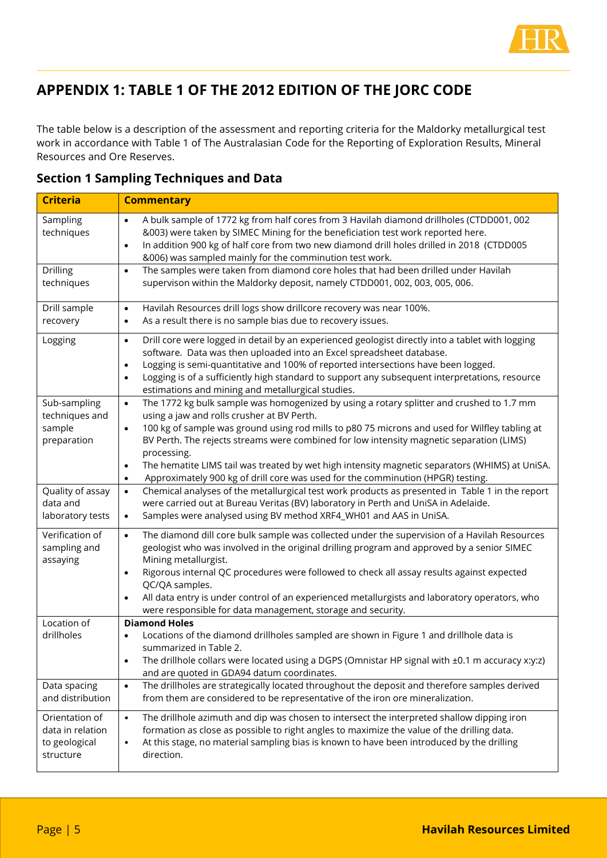

## **APPENDIX 1: TABLE 1 OF THE 2012 EDITION OF THE JORC CODE**

The table below is a description of the assessment and reporting criteria for the Maldorky metallurgical test work in accordance with Table 1 of The Australasian Code for the Reporting of Exploration Results, Mineral Resources and Ore Reserves.

| <b>Criteria</b>                                                  | <b>Commentary</b>                                                                                                                                                                                                                                                                                                                                                                                                                                                                                                                                                                           |
|------------------------------------------------------------------|---------------------------------------------------------------------------------------------------------------------------------------------------------------------------------------------------------------------------------------------------------------------------------------------------------------------------------------------------------------------------------------------------------------------------------------------------------------------------------------------------------------------------------------------------------------------------------------------|
| Sampling<br>techniques                                           | A bulk sample of 1772 kg from half cores from 3 Havilah diamond drillholes (CTDD001, 002<br>$\bullet$<br>&003) were taken by SIMEC Mining for the beneficiation test work reported here.<br>In addition 900 kg of half core from two new diamond drill holes drilled in 2018 (CTDD005<br>$\bullet$<br>&006) was sampled mainly for the comminution test work.                                                                                                                                                                                                                               |
| Drilling<br>techniques                                           | The samples were taken from diamond core holes that had been drilled under Havilah<br>$\bullet$<br>supervison within the Maldorky deposit, namely CTDD001, 002, 003, 005, 006.                                                                                                                                                                                                                                                                                                                                                                                                              |
| Drill sample<br>recovery                                         | Havilah Resources drill logs show drillcore recovery was near 100%.<br>$\bullet$<br>As a result there is no sample bias due to recovery issues.<br>$\bullet$                                                                                                                                                                                                                                                                                                                                                                                                                                |
| Logging                                                          | Drill core were logged in detail by an experienced geologist directly into a tablet with logging<br>$\bullet$<br>software. Data was then uploaded into an Excel spreadsheet database.<br>Logging is semi-quantitative and 100% of reported intersections have been logged.<br>Logging is of a sufficiently high standard to support any subsequent interpretations, resource<br>estimations and mining and metallurgical studies.                                                                                                                                                           |
| Sub-sampling<br>techniques and<br>sample<br>preparation          | The 1772 kg bulk sample was homogenized by using a rotary splitter and crushed to 1.7 mm<br>$\bullet$<br>using a jaw and rolls crusher at BV Perth.<br>100 kg of sample was ground using rod mills to p80 75 microns and used for Wilfley tabling at<br>$\bullet$<br>BV Perth. The rejects streams were combined for low intensity magnetic separation (LIMS)<br>processing.<br>The hematite LIMS tail was treated by wet high intensity magnetic separators (WHIMS) at UniSA.<br>$\bullet$<br>Approximately 900 kg of drill core was used for the comminution (HPGR) testing.<br>$\bullet$ |
| Quality of assay<br>data and<br>laboratory tests                 | Chemical analyses of the metallurgical test work products as presented in Table 1 in the report<br>$\bullet$<br>were carried out at Bureau Veritas (BV) laboratory in Perth and UniSA in Adelaide.<br>Samples were analysed using BV method XRF4_WH01 and AAS in UniSA.<br>$\bullet$                                                                                                                                                                                                                                                                                                        |
| Verification of<br>sampling and<br>assaying                      | The diamond dill core bulk sample was collected under the supervision of a Havilah Resources<br>$\bullet$<br>geologist who was involved in the original drilling program and approved by a senior SIMEC<br>Mining metallurgist.<br>Rigorous internal QC procedures were followed to check all assay results against expected<br>$\bullet$<br>QC/QA samples.<br>All data entry is under control of an experienced metallurgists and laboratory operators, who<br>were responsible for data management, storage and security.                                                                 |
| Location of<br>drillholes                                        | <b>Diamond Holes</b><br>Locations of the diamond drillholes sampled are shown in Figure 1 and drillhole data is<br>$\bullet$<br>summarized in Table 2.<br>The drillhole collars were located using a DGPS (Omnistar HP signal with ±0.1 m accuracy x:y:z)<br>$\bullet$<br>and are quoted in GDA94 datum coordinates.                                                                                                                                                                                                                                                                        |
| Data spacing<br>and distribution                                 | The drillholes are strategically located throughout the deposit and therefore samples derived<br>$\bullet$<br>from them are considered to be representative of the iron ore mineralization.                                                                                                                                                                                                                                                                                                                                                                                                 |
| Orientation of<br>data in relation<br>to geological<br>structure | The drillhole azimuth and dip was chosen to intersect the interpreted shallow dipping iron<br>$\bullet$<br>formation as close as possible to right angles to maximize the value of the drilling data.<br>At this stage, no material sampling bias is known to have been introduced by the drilling<br>$\bullet$<br>direction.                                                                                                                                                                                                                                                               |